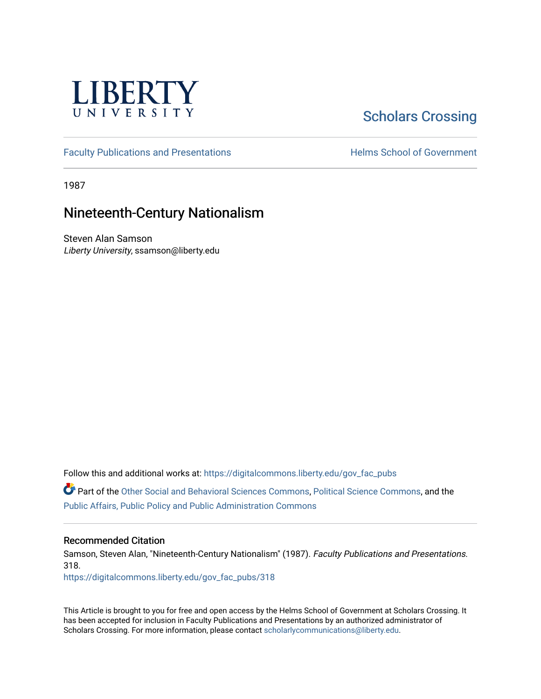

## [Scholars Crossing](https://digitalcommons.liberty.edu/)

[Faculty Publications and Presentations](https://digitalcommons.liberty.edu/gov_fac_pubs) **Exercise School of Government** 

1987

## Nineteenth-Century Nationalism

Steven Alan Samson Liberty University, ssamson@liberty.edu

Follow this and additional works at: [https://digitalcommons.liberty.edu/gov\\_fac\\_pubs](https://digitalcommons.liberty.edu/gov_fac_pubs?utm_source=digitalcommons.liberty.edu%2Fgov_fac_pubs%2F318&utm_medium=PDF&utm_campaign=PDFCoverPages)

Part of the [Other Social and Behavioral Sciences Commons](http://network.bepress.com/hgg/discipline/437?utm_source=digitalcommons.liberty.edu%2Fgov_fac_pubs%2F318&utm_medium=PDF&utm_campaign=PDFCoverPages), [Political Science Commons](http://network.bepress.com/hgg/discipline/386?utm_source=digitalcommons.liberty.edu%2Fgov_fac_pubs%2F318&utm_medium=PDF&utm_campaign=PDFCoverPages), and the [Public Affairs, Public Policy and Public Administration Commons](http://network.bepress.com/hgg/discipline/393?utm_source=digitalcommons.liberty.edu%2Fgov_fac_pubs%2F318&utm_medium=PDF&utm_campaign=PDFCoverPages)

## Recommended Citation

Samson, Steven Alan, "Nineteenth-Century Nationalism" (1987). Faculty Publications and Presentations. 318.

[https://digitalcommons.liberty.edu/gov\\_fac\\_pubs/318](https://digitalcommons.liberty.edu/gov_fac_pubs/318?utm_source=digitalcommons.liberty.edu%2Fgov_fac_pubs%2F318&utm_medium=PDF&utm_campaign=PDFCoverPages)

This Article is brought to you for free and open access by the Helms School of Government at Scholars Crossing. It has been accepted for inclusion in Faculty Publications and Presentations by an authorized administrator of Scholars Crossing. For more information, please contact [scholarlycommunications@liberty.edu.](mailto:scholarlycommunications@liberty.edu)